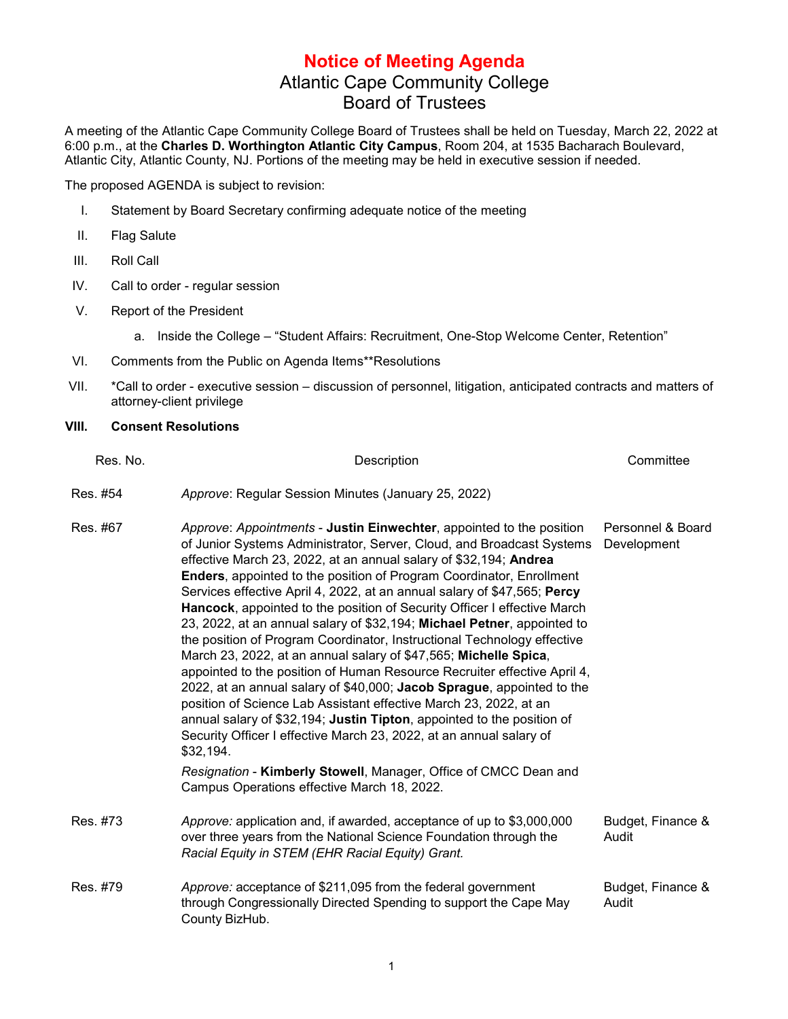## **Notice of Meeting Agenda** Atlantic Cape Community College Board of Trustees

A meeting of the Atlantic Cape Community College Board of Trustees shall be held on Tuesday, March 22, 2022 at 6:00 p.m., at the **Charles D. Worthington Atlantic City Campus**, Room 204, at 1535 Bacharach Boulevard, Atlantic City, Atlantic County, NJ. Portions of the meeting may be held in executive session if needed.

The proposed AGENDA is subject to revision:

- I. Statement by Board Secretary confirming adequate notice of the meeting
- II. Flag Salute
- III. Roll Call
- IV. Call to order regular session
- V. Report of the President
	- a. Inside the College "Student Affairs: Recruitment, One-Stop Welcome Center, Retention"
- VI. Comments from the Public on Agenda Items\*\*Resolutions
- VII. \*Call to order executive session discussion of personnel, litigation, anticipated contracts and matters of attorney-client privilege

## **VIII. Consent Resolutions**

| Res. No. | Description                                                                                                                                                                                                                                                                                                                                                                                                                                                                                                                                                                                                                                                                                                                                                                                                                                                                                                                                                                                                                                                                                                                                                                                     | Committee                        |
|----------|-------------------------------------------------------------------------------------------------------------------------------------------------------------------------------------------------------------------------------------------------------------------------------------------------------------------------------------------------------------------------------------------------------------------------------------------------------------------------------------------------------------------------------------------------------------------------------------------------------------------------------------------------------------------------------------------------------------------------------------------------------------------------------------------------------------------------------------------------------------------------------------------------------------------------------------------------------------------------------------------------------------------------------------------------------------------------------------------------------------------------------------------------------------------------------------------------|----------------------------------|
| Res. #54 | Approve: Regular Session Minutes (January 25, 2022)                                                                                                                                                                                                                                                                                                                                                                                                                                                                                                                                                                                                                                                                                                                                                                                                                                                                                                                                                                                                                                                                                                                                             |                                  |
| Res. #67 | Approve: Appointments - Justin Einwechter, appointed to the position<br>of Junior Systems Administrator, Server, Cloud, and Broadcast Systems<br>effective March 23, 2022, at an annual salary of \$32,194; Andrea<br><b>Enders, appointed to the position of Program Coordinator, Enrollment</b><br>Services effective April 4, 2022, at an annual salary of \$47,565; Percy<br>Hancock, appointed to the position of Security Officer I effective March<br>23, 2022, at an annual salary of \$32,194; Michael Petner, appointed to<br>the position of Program Coordinator, Instructional Technology effective<br>March 23, 2022, at an annual salary of \$47,565; Michelle Spica,<br>appointed to the position of Human Resource Recruiter effective April 4,<br>2022, at an annual salary of \$40,000; Jacob Sprague, appointed to the<br>position of Science Lab Assistant effective March 23, 2022, at an<br>annual salary of \$32,194; Justin Tipton, appointed to the position of<br>Security Officer I effective March 23, 2022, at an annual salary of<br>\$32,194.<br>Resignation - Kimberly Stowell, Manager, Office of CMCC Dean and<br>Campus Operations effective March 18, 2022. | Personnel & Board<br>Development |
| Res. #73 | Approve: application and, if awarded, acceptance of up to \$3,000,000<br>over three years from the National Science Foundation through the<br>Racial Equity in STEM (EHR Racial Equity) Grant.                                                                                                                                                                                                                                                                                                                                                                                                                                                                                                                                                                                                                                                                                                                                                                                                                                                                                                                                                                                                  | Budget, Finance &<br>Audit       |
| Res. #79 | Approve: acceptance of \$211,095 from the federal government<br>through Congressionally Directed Spending to support the Cape May<br>County BizHub.                                                                                                                                                                                                                                                                                                                                                                                                                                                                                                                                                                                                                                                                                                                                                                                                                                                                                                                                                                                                                                             | Budget, Finance &<br>Audit       |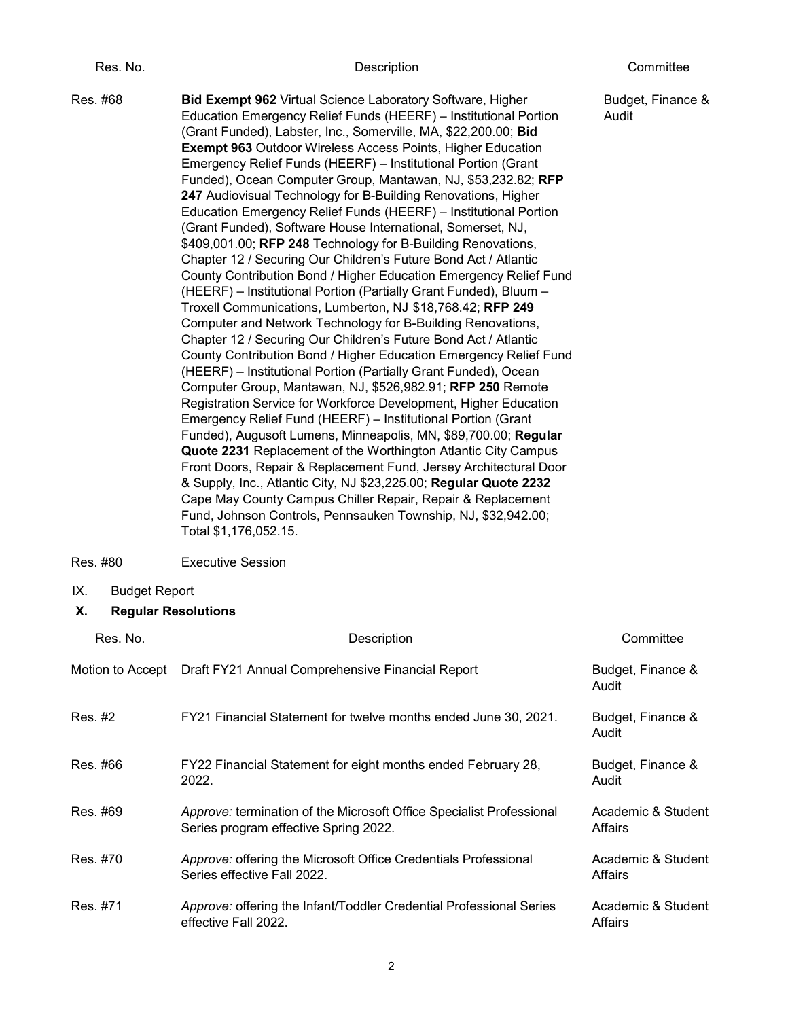| Res. No. | Description                                                                                                                                                                                                                                                                                                                                                                                                                                                                                                                                                                                                                                                                                                                                                                                                                                                                                                                                                                                                                                                                                                                                                                                                                                                                                                                                                                                                                                                                                                                                                                                                                                                                                                                                                                                                                                                                  | Committee                  |
|----------|------------------------------------------------------------------------------------------------------------------------------------------------------------------------------------------------------------------------------------------------------------------------------------------------------------------------------------------------------------------------------------------------------------------------------------------------------------------------------------------------------------------------------------------------------------------------------------------------------------------------------------------------------------------------------------------------------------------------------------------------------------------------------------------------------------------------------------------------------------------------------------------------------------------------------------------------------------------------------------------------------------------------------------------------------------------------------------------------------------------------------------------------------------------------------------------------------------------------------------------------------------------------------------------------------------------------------------------------------------------------------------------------------------------------------------------------------------------------------------------------------------------------------------------------------------------------------------------------------------------------------------------------------------------------------------------------------------------------------------------------------------------------------------------------------------------------------------------------------------------------------|----------------------------|
| Res. #68 | Bid Exempt 962 Virtual Science Laboratory Software, Higher<br>Education Emergency Relief Funds (HEERF) - Institutional Portion<br>(Grant Funded), Labster, Inc., Somerville, MA, \$22,200.00; Bid<br><b>Exempt 963 Outdoor Wireless Access Points, Higher Education</b><br>Emergency Relief Funds (HEERF) - Institutional Portion (Grant<br>Funded), Ocean Computer Group, Mantawan, NJ, \$53,232.82; RFP<br>247 Audiovisual Technology for B-Building Renovations, Higher<br>Education Emergency Relief Funds (HEERF) - Institutional Portion<br>(Grant Funded), Software House International, Somerset, NJ,<br>\$409,001.00; RFP 248 Technology for B-Building Renovations,<br>Chapter 12 / Securing Our Children's Future Bond Act / Atlantic<br>County Contribution Bond / Higher Education Emergency Relief Fund<br>(HEERF) – Institutional Portion (Partially Grant Funded), Bluum –<br>Troxell Communications, Lumberton, NJ \$18,768.42; RFP 249<br>Computer and Network Technology for B-Building Renovations,<br>Chapter 12 / Securing Our Children's Future Bond Act / Atlantic<br>County Contribution Bond / Higher Education Emergency Relief Fund<br>(HEERF) - Institutional Portion (Partially Grant Funded), Ocean<br>Computer Group, Mantawan, NJ, \$526,982.91; RFP 250 Remote<br>Registration Service for Workforce Development, Higher Education<br>Emergency Relief Fund (HEERF) - Institutional Portion (Grant<br>Funded), Augusoft Lumens, Minneapolis, MN, \$89,700.00; Regular<br>Quote 2231 Replacement of the Worthington Atlantic City Campus<br>Front Doors, Repair & Replacement Fund, Jersey Architectural Door<br>& Supply, Inc., Atlantic City, NJ \$23,225.00; Regular Quote 2232<br>Cape May County Campus Chiller Repair, Repair & Replacement<br>Fund, Johnson Controls, Pennsauken Township, NJ, \$32,942.00;<br>Total \$1,176,052.15. | Budget, Finance &<br>Audit |
| Res. #80 | <b>Executive Session</b>                                                                                                                                                                                                                                                                                                                                                                                                                                                                                                                                                                                                                                                                                                                                                                                                                                                                                                                                                                                                                                                                                                                                                                                                                                                                                                                                                                                                                                                                                                                                                                                                                                                                                                                                                                                                                                                     |                            |

- IX. Budget Report
- **X. Regular Resolutions**

| Res. No. | Description                                                                                                   | Committee                     |
|----------|---------------------------------------------------------------------------------------------------------------|-------------------------------|
|          | Motion to Accept  Draft FY21 Annual Comprehensive Financial Report                                            | Budget, Finance &<br>Audit    |
| Res. #2  | FY21 Financial Statement for twelve months ended June 30, 2021.                                               | Budget, Finance &<br>Audit    |
| Res. #66 | FY22 Financial Statement for eight months ended February 28,<br>2022.                                         | Budget, Finance &<br>Audit    |
| Res. #69 | Approve: termination of the Microsoft Office Specialist Professional<br>Series program effective Spring 2022. | Academic & Student<br>Affairs |
| Res. #70 | Approve: offering the Microsoft Office Credentials Professional<br>Series effective Fall 2022.                | Academic & Student<br>Affairs |
| Res. #71 | Approve: offering the Infant/Toddler Credential Professional Series<br>effective Fall 2022.                   | Academic & Student<br>Affairs |